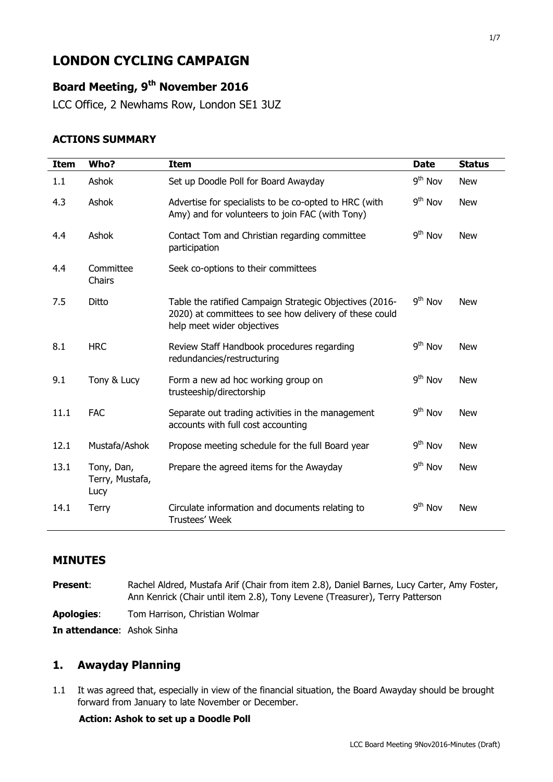# **LONDON CYCLING CAMPAIGN**

### **Board Meeting, 9 th November 2016**

LCC Office, 2 Newhams Row, London SE1 3UZ

#### **ACTIONS SUMMARY**

| <b>Item</b> | Who?                                  | Item                                                                                                                                            | <b>Date</b>         | <b>Status</b> |
|-------------|---------------------------------------|-------------------------------------------------------------------------------------------------------------------------------------------------|---------------------|---------------|
| 1.1         | Ashok                                 | Set up Doodle Poll for Board Awayday                                                                                                            | $9th$ Nov           | <b>New</b>    |
| 4.3         | Ashok                                 | Advertise for specialists to be co-opted to HRC (with<br>Amy) and for volunteers to join FAC (with Tony)                                        | $9th$ Nov           | <b>New</b>    |
| 4.4         | Ashok                                 | Contact Tom and Christian regarding committee<br>participation                                                                                  | 9 <sup>th</sup> Nov | <b>New</b>    |
| 4.4         | Committee<br>Chairs                   | Seek co-options to their committees                                                                                                             |                     |               |
| 7.5         | Ditto                                 | Table the ratified Campaign Strategic Objectives (2016-<br>2020) at committees to see how delivery of these could<br>help meet wider objectives | $9th$ Nov           | <b>New</b>    |
| 8.1         | <b>HRC</b>                            | Review Staff Handbook procedures regarding<br>redundancies/restructuring                                                                        | 9 <sup>th</sup> Nov | <b>New</b>    |
| 9.1         | Tony & Lucy                           | Form a new ad hoc working group on<br>trusteeship/directorship                                                                                  | 9 <sup>th</sup> Nov | <b>New</b>    |
| 11.1        | <b>FAC</b>                            | Separate out trading activities in the management<br>accounts with full cost accounting                                                         | $9th$ Nov           | <b>New</b>    |
| 12.1        | Mustafa/Ashok                         | Propose meeting schedule for the full Board year                                                                                                | 9 <sup>th</sup> Nov | <b>New</b>    |
| 13.1        | Tony, Dan,<br>Terry, Mustafa,<br>Lucy | Prepare the agreed items for the Awayday                                                                                                        | $9th$ Nov           | <b>New</b>    |
| 14.1        | <b>Terry</b>                          | Circulate information and documents relating to<br>Trustees' Week                                                                               | 9 <sup>th</sup> Nov | <b>New</b>    |

#### **MINUTES**

| <b>Present:</b>                   | Rachel Aldred, Mustafa Arif (Chair from item 2.8), Daniel Barnes, Lucy Carter, Amy Foster,<br>Ann Kenrick (Chair until item 2.8), Tony Levene (Treasurer), Terry Patterson |
|-----------------------------------|----------------------------------------------------------------------------------------------------------------------------------------------------------------------------|
| <b>Apologies:</b>                 | Tom Harrison, Christian Wolmar                                                                                                                                             |
| <b>In attendance: Ashok Sinha</b> |                                                                                                                                                                            |

### **1. Awayday Planning**

1.1 It was agreed that, especially in view of the financial situation, the Board Awayday should be brought forward from January to late November or December.

#### **Action: Ashok to set up a Doodle Poll**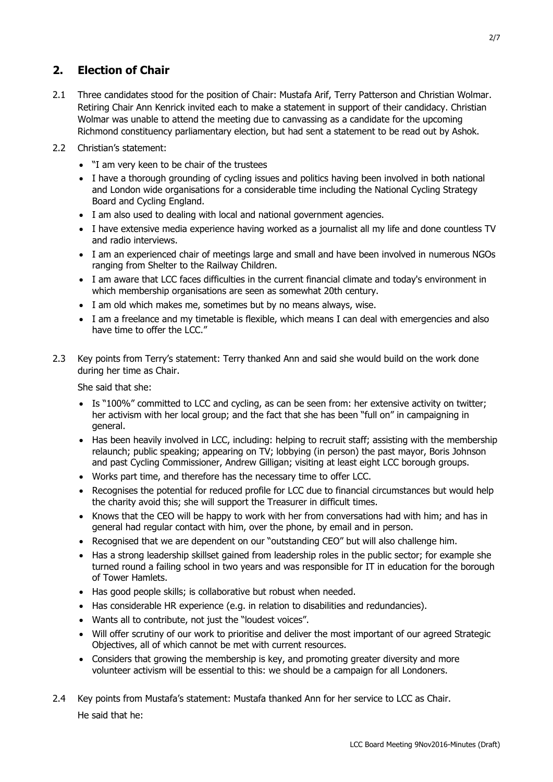### **2. Election of Chair**

- 2.1 Three candidates stood for the position of Chair: Mustafa Arif, Terry Patterson and Christian Wolmar. Retiring Chair Ann Kenrick invited each to make a statement in support of their candidacy. Christian Wolmar was unable to attend the meeting due to canvassing as a candidate for the upcoming Richmond constituency parliamentary election, but had sent a statement to be read out by Ashok.
- 2.2 Christian's statement:
	- "I am very keen to be chair of the trustees
	- I have a thorough grounding of cycling issues and politics having been involved in both national and London wide organisations for a considerable time including the National Cycling Strategy Board and Cycling England.
	- I am also used to dealing with local and national government agencies.
	- I have extensive media experience having worked as a journalist all my life and done countless TV and radio interviews.
	- I am an experienced chair of meetings large and small and have been involved in numerous NGOs ranging from Shelter to the Railway Children.
	- I am aware that LCC faces difficulties in the current financial climate and today's environment in which membership organisations are seen as somewhat 20th century.
	- I am old which makes me, sometimes but by no means always, wise.
	- I am a freelance and my timetable is flexible, which means I can deal with emergencies and also have time to offer the LCC."
- 2.3 Key points from Terry's statement: Terry thanked Ann and said she would build on the work done during her time as Chair.

She said that she:

- Is "100%" committed to LCC and cycling, as can be seen from: her extensive activity on twitter; her activism with her local group; and the fact that she has been "full on" in campaigning in general.
- Has been heavily involved in LCC, including: helping to recruit staff; assisting with the membership relaunch; public speaking; appearing on TV; lobbying (in person) the past mayor, Boris Johnson and past Cycling Commissioner, Andrew Gilligan; visiting at least eight LCC borough groups.
- Works part time, and therefore has the necessary time to offer LCC.
- Recognises the potential for reduced profile for LCC due to financial circumstances but would help the charity avoid this; she will support the Treasurer in difficult times.
- Knows that the CEO will be happy to work with her from conversations had with him; and has in general had regular contact with him, over the phone, by email and in person.
- Recognised that we are dependent on our "outstanding CEO" but will also challenge him.
- Has a strong leadership skillset gained from leadership roles in the public sector; for example she turned round a failing school in two years and was responsible for IT in education for the borough of Tower Hamlets.
- Has good people skills; is collaborative but robust when needed.
- Has considerable HR experience (e.g. in relation to disabilities and redundancies).
- Wants all to contribute, not just the "loudest voices".
- Will offer scrutiny of our work to prioritise and deliver the most important of our agreed Strategic Objectives, all of which cannot be met with current resources.
- Considers that growing the membership is key, and promoting greater diversity and more volunteer activism will be essential to this: we should be a campaign for all Londoners.
- 2.4 Key points from Mustafa's statement: Mustafa thanked Ann for her service to LCC as Chair. He said that he: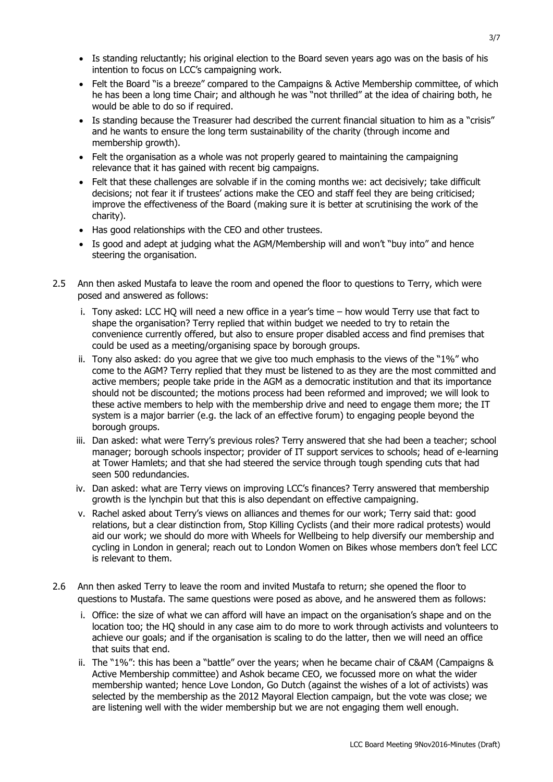- Is standing reluctantly; his original election to the Board seven years ago was on the basis of his intention to focus on LCC's campaigning work.
- Felt the Board "is a breeze" compared to the Campaigns & Active Membership committee, of which he has been a long time Chair; and although he was "not thrilled" at the idea of chairing both, he would be able to do so if required.
- Is standing because the Treasurer had described the current financial situation to him as a "crisis" and he wants to ensure the long term sustainability of the charity (through income and membership growth).
- Felt the organisation as a whole was not properly geared to maintaining the campaigning relevance that it has gained with recent big campaigns.
- Felt that these challenges are solvable if in the coming months we: act decisively; take difficult decisions; not fear it if trustees' actions make the CEO and staff feel they are being criticised; improve the effectiveness of the Board (making sure it is better at scrutinising the work of the charity).
- Has good relationships with the CEO and other trustees.
- Is good and adept at judging what the AGM/Membership will and won't "buy into" and hence steering the organisation.
- 2.5 Ann then asked Mustafa to leave the room and opened the floor to questions to Terry, which were posed and answered as follows:
	- i. Tony asked: LCC HQ will need a new office in a year's time how would Terry use that fact to shape the organisation? Terry replied that within budget we needed to try to retain the convenience currently offered, but also to ensure proper disabled access and find premises that could be used as a meeting/organising space by borough groups.
	- ii. Tony also asked: do you agree that we give too much emphasis to the views of the "1%" who come to the AGM? Terry replied that they must be listened to as they are the most committed and active members; people take pride in the AGM as a democratic institution and that its importance should not be discounted; the motions process had been reformed and improved; we will look to these active members to help with the membership drive and need to engage them more; the IT system is a major barrier (e.g. the lack of an effective forum) to engaging people beyond the borough groups.
	- iii. Dan asked: what were Terry's previous roles? Terry answered that she had been a teacher; school manager; borough schools inspector; provider of IT support services to schools; head of e-learning at Tower Hamlets; and that she had steered the service through tough spending cuts that had seen 500 redundancies.
	- iv. Dan asked: what are Terry views on improving LCC's finances? Terry answered that membership growth is the lynchpin but that this is also dependant on effective campaigning.
	- v. Rachel asked about Terry's views on alliances and themes for our work; Terry said that: good relations, but a clear distinction from, Stop Killing Cyclists (and their more radical protests) would aid our work; we should do more with Wheels for Wellbeing to help diversify our membership and cycling in London in general; reach out to London Women on Bikes whose members don't feel LCC is relevant to them.
- 2.6 Ann then asked Terry to leave the room and invited Mustafa to return; she opened the floor to questions to Mustafa. The same questions were posed as above, and he answered them as follows:
	- i. Office: the size of what we can afford will have an impact on the organisation's shape and on the location too; the HQ should in any case aim to do more to work through activists and volunteers to achieve our goals; and if the organisation is scaling to do the latter, then we will need an office that suits that end.
	- ii. The "1%": this has been a "battle" over the years; when he became chair of C&AM (Campaigns & Active Membership committee) and Ashok became CEO, we focussed more on what the wider membership wanted; hence Love London, Go Dutch (against the wishes of a lot of activists) was selected by the membership as the 2012 Mayoral Election campaign, but the vote was close; we are listening well with the wider membership but we are not engaging them well enough.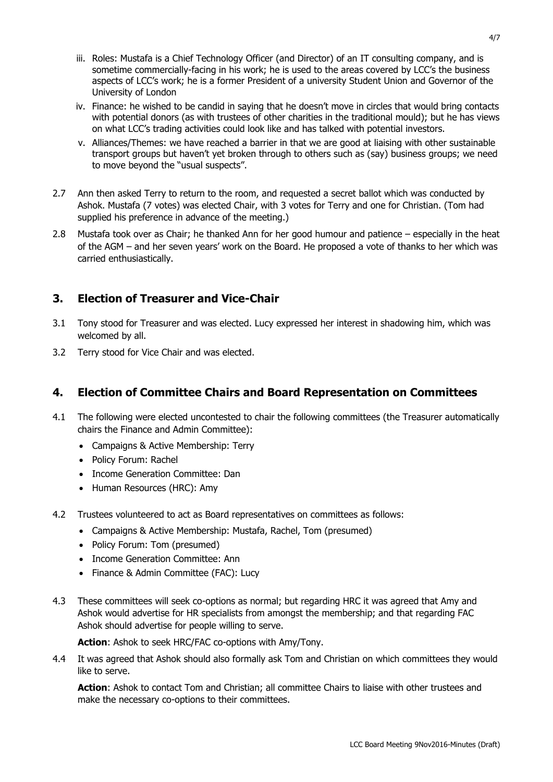- iii. Roles: Mustafa is a Chief Technology Officer (and Director) of an IT consulting company, and is sometime commercially-facing in his work; he is used to the areas covered by LCC's the business aspects of LCC's work; he is a former President of a university Student Union and Governor of the University of London
- iv. Finance: he wished to be candid in saying that he doesn't move in circles that would bring contacts with potential donors (as with trustees of other charities in the traditional mould); but he has views on what LCC's trading activities could look like and has talked with potential investors.
- v. Alliances/Themes: we have reached a barrier in that we are good at liaising with other sustainable transport groups but haven't yet broken through to others such as (say) business groups; we need to move beyond the "usual suspects".
- 2.7 Ann then asked Terry to return to the room, and requested a secret ballot which was conducted by Ashok. Mustafa (7 votes) was elected Chair, with 3 votes for Terry and one for Christian. (Tom had supplied his preference in advance of the meeting.)
- 2.8 Mustafa took over as Chair; he thanked Ann for her good humour and patience especially in the heat of the AGM – and her seven years' work on the Board. He proposed a vote of thanks to her which was carried enthusiastically.

### **3. Election of Treasurer and Vice-Chair**

- 3.1 Tony stood for Treasurer and was elected. Lucy expressed her interest in shadowing him, which was welcomed by all.
- 3.2 Terry stood for Vice Chair and was elected.

### **4. Election of Committee Chairs and Board Representation on Committees**

- 4.1 The following were elected uncontested to chair the following committees (the Treasurer automatically chairs the Finance and Admin Committee):
	- Campaigns & Active Membership: Terry
	- Policy Forum: Rachel
	- Income Generation Committee: Dan
	- Human Resources (HRC): Amy
- 4.2 Trustees volunteered to act as Board representatives on committees as follows:
	- Campaigns & Active Membership: Mustafa, Rachel, Tom (presumed)
	- Policy Forum: Tom (presumed)
	- Income Generation Committee: Ann
	- Finance & Admin Committee (FAC): Lucy
- 4.3 These committees will seek co-options as normal; but regarding HRC it was agreed that Amy and Ashok would advertise for HR specialists from amongst the membership; and that regarding FAC Ashok should advertise for people willing to serve.

**Action**: Ashok to seek HRC/FAC co-options with Amy/Tony.

4.4 It was agreed that Ashok should also formally ask Tom and Christian on which committees they would like to serve.

**Action**: Ashok to contact Tom and Christian; all committee Chairs to liaise with other trustees and make the necessary co-options to their committees.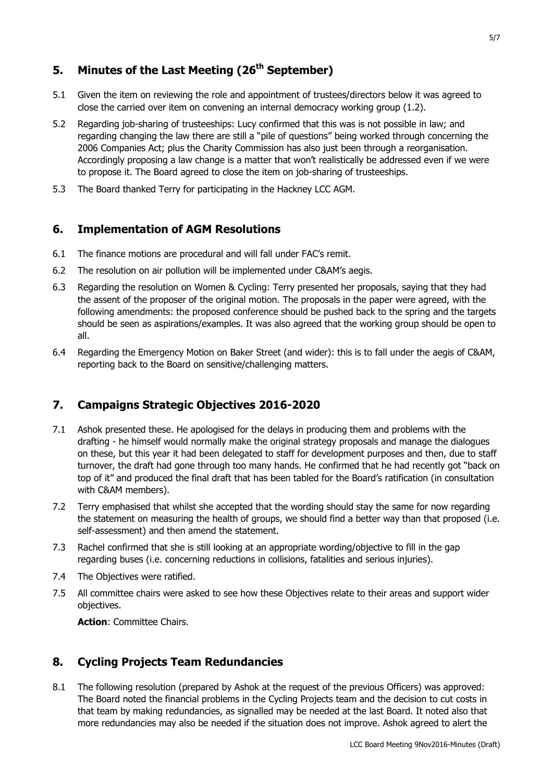## **5. Minutes of the Last Meeting (26th September)**

- 5.1 Given the item on reviewing the role and appointment of trustees/directors below it was agreed to close the carried over item on convening an internal democracy working group (1.2).
- 5.2 Regarding job-sharing of trusteeships: Lucy confirmed that this was is not possible in law; and regarding changing the law there are still a "pile of questions" being worked through concerning the 2006 Companies Act; plus the Charity Commission has also just been through a reorganisation. Accordingly proposing a law change is a matter that won't realistically be addressed even if we were to propose it. The Board agreed to close the item on job-sharing of trusteeships.
- 5.3 The Board thanked Terry for participating in the Hackney LCC AGM.

#### **6. Implementation of AGM Resolutions**

- 6.1 The finance motions are procedural and will fall under FAC's remit.
- 6.2 The resolution on air pollution will be implemented under C&AM's aegis.
- 6.3 Regarding the resolution on Women & Cycling: Terry presented her proposals, saying that they had the assent of the proposer of the original motion. The proposals in the paper were agreed, with the following amendments: the proposed conference should be pushed back to the spring and the targets should be seen as aspirations/examples. It was also agreed that the working group should be open to all.
- 6.4 Regarding the Emergency Motion on Baker Street (and wider): this is to fall under the aegis of C&AM, reporting back to the Board on sensitive/challenging matters.

### **7. Campaigns Strategic Objectives 2016-2020**

- 7.1 Ashok presented these. He apologised for the delays in producing them and problems with the drafting - he himself would normally make the original strategy proposals and manage the dialogues on these, but this year it had been delegated to staff for development purposes and then, due to staff turnover, the draft had gone through too many hands. He confirmed that he had recently got "back on top of it" and produced the final draft that has been tabled for the Board's ratification (in consultation with C&AM members).
- 7.2 Terry emphasised that whilst she accepted that the wording should stay the same for now regarding the statement on measuring the health of groups, we should find a better way than that proposed (i.e. self-assessment) and then amend the statement.
- 7.3 Rachel confirmed that she is still looking at an appropriate wording/objective to fill in the gap regarding buses (i.e. concerning reductions in collisions, fatalities and serious injuries).
- 7.4 The Objectives were ratified.
- 7.5 All committee chairs were asked to see how these Objectives relate to their areas and support wider objectives.

**Action**: Committee Chairs.

### **8. Cycling Projects Team Redundancies**

8.1 The following resolution (prepared by Ashok at the request of the previous Officers) was approved: The Board noted the financial problems in the Cycling Projects team and the decision to cut costs in that team by making redundancies, as signalled may be needed at the last Board. It noted also that more redundancies may also be needed if the situation does not improve. Ashok agreed to alert the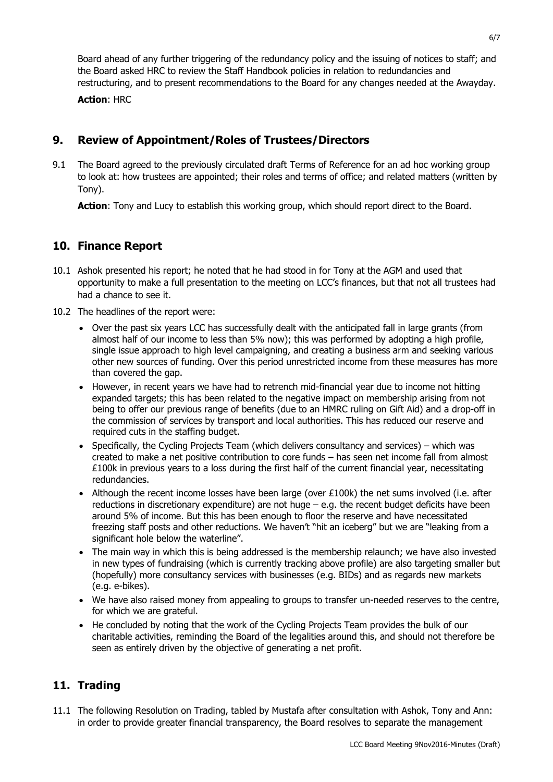Board ahead of any further triggering of the redundancy policy and the issuing of notices to staff; and the Board asked HRC to review the Staff Handbook policies in relation to redundancies and restructuring, and to present recommendations to the Board for any changes needed at the Awayday.

**Action**: HRC

### **9. Review of Appointment/Roles of Trustees/Directors**

9.1 The Board agreed to the previously circulated draft Terms of Reference for an ad hoc working group to look at: how trustees are appointed; their roles and terms of office; and related matters (written by Tony).

**Action**: Tony and Lucy to establish this working group, which should report direct to the Board.

## **10. Finance Report**

- 10.1 Ashok presented his report; he noted that he had stood in for Tony at the AGM and used that opportunity to make a full presentation to the meeting on LCC's finances, but that not all trustees had had a chance to see it.
- 10.2 The headlines of the report were:
	- Over the past six years LCC has successfully dealt with the anticipated fall in large grants (from almost half of our income to less than 5% now); this was performed by adopting a high profile, single issue approach to high level campaigning, and creating a business arm and seeking various other new sources of funding. Over this period unrestricted income from these measures has more than covered the gap.
	- However, in recent years we have had to retrench mid-financial year due to income not hitting expanded targets; this has been related to the negative impact on membership arising from not being to offer our previous range of benefits (due to an HMRC ruling on Gift Aid) and a drop-off in the commission of services by transport and local authorities. This has reduced our reserve and required cuts in the staffing budget.
	- Specifically, the Cycling Projects Team (which delivers consultancy and services) which was created to make a net positive contribution to core funds – has seen net income fall from almost £100k in previous years to a loss during the first half of the current financial year, necessitating redundancies.
	- Although the recent income losses have been large (over  $£100k$ ) the net sums involved (i.e. after reductions in discretionary expenditure) are not huge – e.g. the recent budget deficits have been around 5% of income. But this has been enough to floor the reserve and have necessitated freezing staff posts and other reductions. We haven't "hit an iceberg" but we are "leaking from a significant hole below the waterline".
	- The main way in which this is being addressed is the membership relaunch; we have also invested in new types of fundraising (which is currently tracking above profile) are also targeting smaller but (hopefully) more consultancy services with businesses (e.g. BIDs) and as regards new markets (e.g. e-bikes).
	- We have also raised money from appealing to groups to transfer un-needed reserves to the centre, for which we are grateful.
	- He concluded by noting that the work of the Cycling Projects Team provides the bulk of our charitable activities, reminding the Board of the legalities around this, and should not therefore be seen as entirely driven by the objective of generating a net profit.

### **11. Trading**

11.1 The following Resolution on Trading, tabled by Mustafa after consultation with Ashok, Tony and Ann: in order to provide greater financial transparency, the Board resolves to separate the management